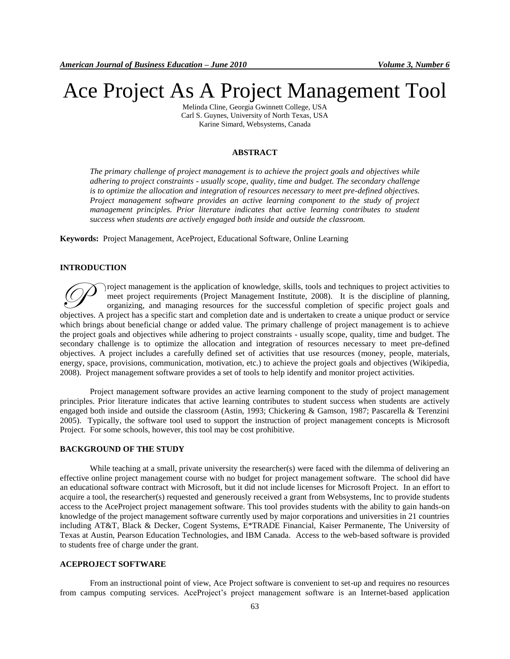# Ace Project As A Project Management Tool

Melinda Cline, Georgia Gwinnett College, USA Carl S. Guynes, University of North Texas, USA Karine Simard, Websystems, Canada

### **ABSTRACT**

*The primary challenge of project management is to achieve the project goals and objectives while adhering to project constraints - usually [scope,](http://en.wikipedia.org/wiki/Scope) [quality,](http://en.wikipedia.org/wiki/Quality) [time](http://en.wikipedia.org/wiki/Time) and [budget.](http://en.wikipedia.org/wiki/Budget) The secondary challenge is t[o optimize](http://en.wikipedia.org/wiki/Operations_research) the [allocation](http://en.wikipedia.org/wiki/Resource_allocation) and integration of resources necessary to meet pre-defined objectives. Project management software provides an active learning component to the study of project management principles. Prior literature indicates that active learning contributes to student success when students are actively engaged both inside and outside the classroom.*

**Keywords:** Project Management, AceProject, Educational Software, Online Learning

#### **INTRODUCTION**

roject management is the application of knowledge, skills, tools and techniques to project activities to meet project requirements (Project Management Institute, 2008). It is the [discipline](http://en.wikipedia.org/wiki/List_of_academic_disciplines) of planning, organizing, and managing resources for the successful completion of specific project goals and Troject management is the application of knowledge, skills, tools and techniques to project activities to meet project requirements (Project Management Institute, 2008). It is the discipline of planning, organizing, and ma which brings about beneficial change or added value. The primary challenge of project management is to achieve the project goals and objectives while adhering to project constraints - usually [scope,](http://en.wikipedia.org/wiki/Scope) [quality,](http://en.wikipedia.org/wiki/Quality) [time](http://en.wikipedia.org/wiki/Time) and [budget.](http://en.wikipedia.org/wiki/Budget) The secondary challenge is to [optimize](http://en.wikipedia.org/wiki/Operations_research) the [allocation](http://en.wikipedia.org/wiki/Resource_allocation) and integration of resources necessary to meet pre-defined objectives. A [project](http://en.wikipedia.org/wiki/Project) includes a carefully defined set of activities that use [resources](http://en.wikipedia.org/wiki/Factors_of_production) [\(money,](http://en.wikipedia.org/wiki/Money) [people,](http://en.wikipedia.org/wiki/People) [materials,](http://en.wikipedia.org/wiki/Material) [energy,](http://en.wikipedia.org/wiki/Energy) [space,](http://en.wikipedia.org/wiki/Space) [provisions,](http://en.wikipedia.org/wiki/Provisions) [communication,](http://en.wikipedia.org/wiki/Communication) [motivation,](http://en.wikipedia.org/wiki/Motivation) etc.) to achieve the project goals and objectives (Wikipedia, 2008). Project management software provides a set of tools to help identify and monitor project activities.

Project management software provides an active learning component to the study of project management principles. Prior literature indicates that active learning contributes to student success when students are actively engaged both inside and outside the classroom (Astin, 1993; Chickering & Gamson, 1987; Pascarella & Terenzini 2005). Typically, the software tool used to support the instruction of project management concepts is Microsoft Project. For some schools, however, this tool may be cost prohibitive.

## **BACKGROUND OF THE STUDY**

While teaching at a small, private university the researcher(s) were faced with the dilemma of delivering an effective online project management course with no budget for project management software. The school did have an educational software contract with Microsoft, but it did not include licenses for Microsoft Project. In an effort to acquire a tool, the researcher(s) requested and generously received a grant from Websystems, Inc to provide students access to the AceProject project management software. This tool provides students with the ability to gain hands-on knowledge of the project management software currently used by major corporations and universities in 21 countries including AT&T, Black & Decker, Cogent Systems, E\*TRADE Financial, [Kaiser Permanente,](http://www.kp.org/) The University of Texas at Austin, Pearson Education Technologies, and IBM Canada. Access to the web-based software is provided to students free of charge under the grant.

## **ACEPROJECT SOFTWARE**

From an instructional point of view, Ace Project software is convenient to set-up and requires no resources from campus computing services. AceProject's project management software is an Internet-based application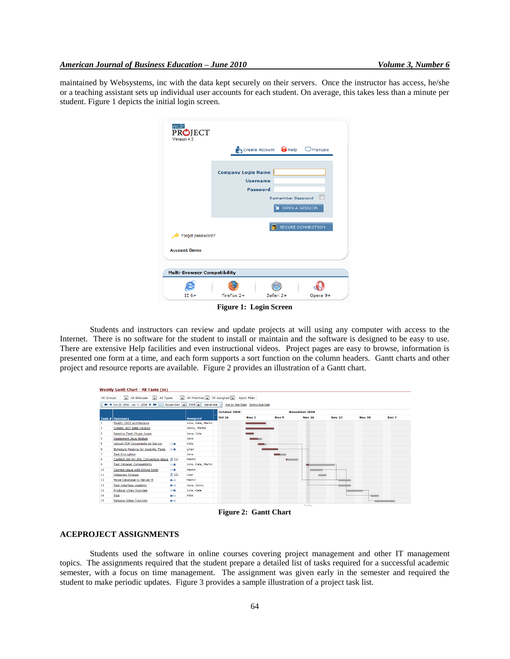maintained by Websystems, inc with the data kept securely on their servers. Once the instructor has access, he/she or a teaching assistant sets up individual user accounts for each student. On average, this takes less than a minute per student. Figure 1 depicts the initial login screen.

| ACE<br>PROJECT                     |                                                                  |  |
|------------------------------------|------------------------------------------------------------------|--|
| Version 4.5                        |                                                                  |  |
|                                    | Create Account & Help C Français                                 |  |
|                                    |                                                                  |  |
|                                    |                                                                  |  |
|                                    | <b>Company Login Name</b>                                        |  |
|                                    | <b>Username</b>                                                  |  |
|                                    | <b>Password</b>                                                  |  |
|                                    | <b>Remember Password</b>                                         |  |
|                                    | OPEN A SESSION                                                   |  |
|                                    |                                                                  |  |
|                                    | SECURE CONNECTION                                                |  |
| Forgot password?                   |                                                                  |  |
|                                    |                                                                  |  |
| <b>Account: Demo</b>               |                                                                  |  |
|                                    |                                                                  |  |
|                                    |                                                                  |  |
| <b>Multi-Browser Compatibility</b> |                                                                  |  |
|                                    |                                                                  |  |
| $IE 6+$                            | FireFox 2+<br>Safari 2+<br>Opera 9+                              |  |
|                                    | $\mathbf{m}$ $\mathbf{r}$ $\mathbf{r}$ $\mathbf{r}$ $\mathbf{r}$ |  |

**Figure 1: Login Screen**

Students and instructors can review and update projects at will using any computer with access to the Internet. There is no software for the student to install or maintain and the software is designed to be easy to use. There are extensive Help facilities and even instructional videos. Project pages are easy to browse, information is presented one form at a time, and each form supports a sort function on the column headers. Gantt charts and other project and resource reports are available. Figure 2 provides an illustration of a Gantt chart.

|            | Weekly Gantt Chart - All Tasks (16)                    |                                                                          |                |                                     |                          |               |                          |               |                                                                                                                                                                                                                                 |
|------------|--------------------------------------------------------|--------------------------------------------------------------------------|----------------|-------------------------------------|--------------------------|---------------|--------------------------|---------------|---------------------------------------------------------------------------------------------------------------------------------------------------------------------------------------------------------------------------------|
| All Groups | All Types<br>All Statuses<br>$\overline{ }$            | All Priorities<br>$\mathbf{r}$                                           | All Assigned - | <b>Apply Filter</b>                 |                          |               |                          |               |                                                                                                                                                                                                                                 |
|            | 44 4 Oct 26, 2008 - Jan 11, 2009 > N                   | November $\overline{\phantom{0}}$ 2008 $\overline{\phantom{0}}$ Generate |                | Sort by Start Date Sort by Due Date |                          |               |                          |               |                                                                                                                                                                                                                                 |
|            |                                                        |                                                                          | October 2008   |                                     | November 2008            |               |                          |               |                                                                                                                                                                                                                                 |
|            | Task # Summary                                         | <b>Assigned</b>                                                          | <b>Oct 26</b>  | Nov <sub>2</sub>                    | Nov <sub>9</sub>         | <b>Nov 16</b> | <b>Nov 23</b>            | <b>Nov 30</b> | Dec 7                                                                                                                                                                                                                           |
|            | Modify UNIX architecture                               | Julie, Kate, Martin                                                      |                |                                     |                          |               |                          |               |                                                                                                                                                                                                                                 |
|            | Create .NET Beta Version                               | Jenny, Martin                                                            |                |                                     |                          |               |                          |               |                                                                                                                                                                                                                                 |
| 3          | Resolve Flash Plugin Issue                             | Jane, Julie                                                              |                |                                     |                          |               |                          |               |                                                                                                                                                                                                                                 |
| 4          | <b>Implement Java Module</b>                           | Jane                                                                     |                |                                     |                          |               |                          |               |                                                                                                                                                                                                                                 |
| 5          | <b>Upload PDF Documents on Server</b><br>$0 - 0$       | Kate                                                                     |                |                                     | --------------------     |               |                          |               |                                                                                                                                                                                                                                 |
| 6          | <b>Schedule Meeting for Usability Tests</b><br>$0 - 0$ | Lilian                                                                   |                |                                     |                          |               |                          |               |                                                                                                                                                                                                                                 |
| 7          | <b>Test Encryption</b>                                 | Jane                                                                     |                |                                     |                          |               |                          |               |                                                                                                                                                                                                                                 |
| 8          | Contact Jim for XML Conversion Issue [ 1]              | Martin                                                                   |                |                                     | $\overline{\phantom{a}}$ |               |                          |               |                                                                                                                                                                                                                                 |
| 9          | <b>Test Intranet Compatibility</b><br>$O - 0$          | Julie, Kate, Martin                                                      |                |                                     |                          |               |                          |               |                                                                                                                                                                                                                                 |
| 10         | Correct Issue with Online Form<br>$0 - 0$              | Martin                                                                   |                |                                     |                          |               | ,,,,,,,,,,,,,,           |               |                                                                                                                                                                                                                                 |
| 11         | $\mathbb{D}$ (2)<br>Integrate Images                   | User                                                                     |                |                                     |                          |               |                          |               |                                                                                                                                                                                                                                 |
| 12         | Move Database to Server B<br>n-n.                      | Martin                                                                   |                |                                     |                          |               |                          |               |                                                                                                                                                                                                                                 |
| 13         | <b>Test Interface Usability</b><br>n-n.                | Jane, Jenny                                                              |                |                                     |                          |               | <b>NAMARASANARANARAS</b> |               |                                                                                                                                                                                                                                 |
| 14         | Produce Video Tutorials<br>$0 - 0$                     | Julie, Kate                                                              |                |                                     |                          |               |                          | ----          |                                                                                                                                                                                                                                 |
| 16         | Test<br>$0 - 0$                                        | Kate                                                                     |                |                                     |                          |               |                          |               |                                                                                                                                                                                                                                 |
| 15         | <b>Release Video Tutorials</b><br>n-n                  |                                                                          |                |                                     |                          |               |                          |               | $\sim$ . The contract of the contract of the contract of the contract of the contract of the contract of the contract of the contract of the contract of the contract of the contract of the contract of the contract of the co |
|            |                                                        |                                                                          |                |                                     |                          | Today         |                          |               |                                                                                                                                                                                                                                 |

**Figure 2: Gantt Chart**

# **ACEPROJECT ASSIGNMENTS**

Students used the software in online courses covering project management and other IT management topics. The assignments required that the student prepare a detailed list of tasks required for a successful academic semester, with a focus on time management. The assignment was given early in the semester and required the student to make periodic updates. Figure 3 provides a sample illustration of a project task list.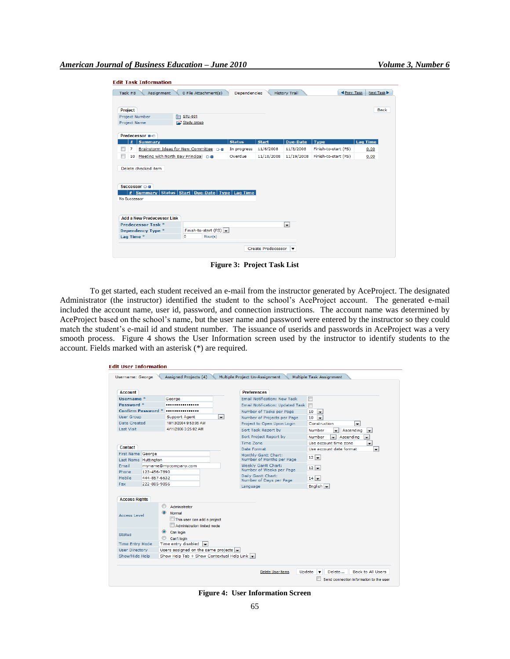| Task $#8$<br>Assignment                                                                      | 0 File Attachment(s)                 | Dependencies  |              | <b>History Trail</b> | <b>I</b> Prev. Task  | Next Task       |
|----------------------------------------------------------------------------------------------|--------------------------------------|---------------|--------------|----------------------|----------------------|-----------------|
|                                                                                              |                                      |               |              |                      |                      |                 |
| <b>Project</b>                                                                               |                                      |               |              |                      |                      | <b>Back</b>     |
| Project Number                                                                               | <b>□ STU-001</b>                     |               |              |                      |                      |                 |
| Project Name                                                                                 | Study group                          |               |              |                      |                      |                 |
|                                                                                              |                                      |               |              |                      |                      |                 |
| Predecessor <b>D-D</b><br><b>Summary</b><br>#                                                |                                      | <b>Status</b> | <b>Start</b> | <b>Due-Date</b>      | <b>Type</b>          | <b>Lag Time</b> |
| 7                                                                                            |                                      |               | 11/6/2008    | 11/8/2008            | Finish-to-start (FS) |                 |
| Brainstorm Ideas for New Committee 0-0                                                       |                                      | In progress   |              |                      |                      | 0.00            |
| г<br>Meeting with North Bay Principal 0-8<br>10                                              |                                      | Overdue       | 11/18/2008   | 11/19/2008           | Finish-to-start (FS) | 0.00            |
|                                                                                              |                                      |               |              |                      |                      |                 |
| Successor D-0<br>#   Summary   Status   Start   Due-Date   Type   Lag Time  <br>No Successor |                                      |               |              |                      |                      |                 |
| <b>Add a New Predecessor Link</b>                                                            |                                      |               |              |                      |                      |                 |
| Predecessor Task *                                                                           |                                      |               |              | $\blacksquare$       |                      |                 |
| Dependency Type *<br>Lag Time *                                                              | Finish-to-start (FS)<br>o<br>Hour(s) |               |              |                      |                      |                 |
|                                                                                              |                                      |               |              |                      |                      |                 |

**Figure 3: Project Task List**

To get started, each student received an e-mail from the instructor generated by AceProject. The designated Administrator (the instructor) identified the student to the school's AceProject account. The generated e-mail included the account name, user id, password, and connection instructions. The account name was determined by AceProject based on the school's name, but the user name and password were entered by the instructor so they could match the student's e-mail id and student number. The issuance of userids and passwords in AceProject was a very smooth process. Figure 4 shows the User Information screen used by the instructor to identify students to the account. Fields marked with an asterisk (\*) are required.

| <b>Account</b>                                              |              |                                                                                       | <b>Preferences</b>                                |                                                                             |  |  |  |
|-------------------------------------------------------------|--------------|---------------------------------------------------------------------------------------|---------------------------------------------------|-----------------------------------------------------------------------------|--|--|--|
| Username <sup>*</sup>                                       |              | George                                                                                | Email Notification: New Task                      | F                                                                           |  |  |  |
| Password *                                                  |              |                                                                                       | Email Notification: Updated Task                  | I                                                                           |  |  |  |
| <b>Confirm Password *</b>                                   |              |                                                                                       | Number of Tasks per Page                          | 10<br>$\overline{\phantom{a}}$                                              |  |  |  |
| <b>User Group</b>                                           |              | <b>Support Agent</b><br>$\blacksquare$                                                | Number of Projects per Page                       | 10<br>$\overline{\phantom{a}}$                                              |  |  |  |
| Date Created                                                |              | 10/13/2004 9:53:05 AM                                                                 | Project to Open Upon Login                        | Construction<br>$\blacksquare$                                              |  |  |  |
| <b>Last Visit</b>                                           |              | 4/11/2006 3:25:02 AM                                                                  | Sort Task Report by                               | Number<br>Ascending<br>$\overline{\phantom{a}}$<br>$\overline{\phantom{a}}$ |  |  |  |
|                                                             |              |                                                                                       | Sort Project Report by                            | <b>Number</b><br>Ascending<br>٣I<br>$\overline{\phantom{a}}$                |  |  |  |
|                                                             |              |                                                                                       | Time Zone                                         | Use account time zone<br>$\overline{\phantom{a}}$                           |  |  |  |
| Contact                                                     |              |                                                                                       | Date Format                                       | Use account date format<br>$\blacksquare$                                   |  |  |  |
| <b>First Name George</b><br>Last Name Huttington            |              |                                                                                       | Monthly Gantt Chart:<br>Number of Months per Page | $12 -$                                                                      |  |  |  |
| Email<br>Phone                                              | 123-456-7890 | myname@mycompany.com                                                                  | Weekly Gantt Chart:<br>Number of Weeks per Page   | $12 -$                                                                      |  |  |  |
| Mobile<br>444-857-6632                                      |              |                                                                                       | Daily Gantt Chart:<br>Number of Days per Page     | $14 -$                                                                      |  |  |  |
| 222-885-9856<br><b>Fax</b>                                  |              |                                                                                       | Language                                          | English $\sim$                                                              |  |  |  |
| <b>Access Rights</b><br>Access Level                        | $\bullet$    | Administrator<br>Normal<br>This user can add a project<br>Administration limited mode |                                                   |                                                                             |  |  |  |
| <b>Status</b>                                               |              | $\circledcirc$<br>Can login<br>Can't login                                            |                                                   |                                                                             |  |  |  |
| Time entry disabled $\rightarrow$<br><b>Time Entry Mode</b> |              |                                                                                       |                                                   |                                                                             |  |  |  |
| <b>User Directory</b>                                       |              | Users assigned on the same projects $\left  \bullet \right $                          |                                                   |                                                                             |  |  |  |
| Show/Hide Help<br>Show Help Tab + Show Contextual Help Link |              |                                                                                       |                                                   |                                                                             |  |  |  |

**Figure 4: User Information Screen**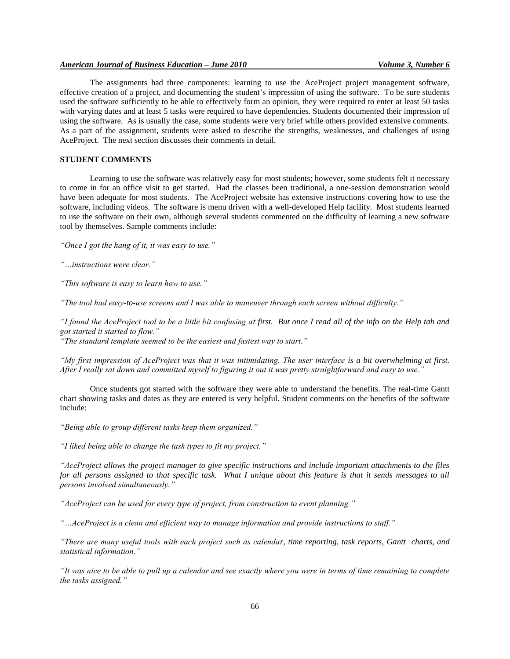## *American Journal of Business Education – June 2010 Volume 3, Number 6*

The assignments had three components: learning to use the AceProject project management software, effective creation of a project, and documenting the student's impression of using the software. To be sure students used the software sufficiently to be able to effectively form an opinion, they were required to enter at least 50 tasks with varying dates and at least 5 tasks were required to have dependencies. Students documented their impression of using the software. As is usually the case, some students were very brief while others provided extensive comments. As a part of the assignment, students were asked to describe the strengths, weaknesses, and challenges of using AceProject. The next section discusses their comments in detail.

## **STUDENT COMMENTS**

Learning to use the software was relatively easy for most students; however, some students felt it necessary to come in for an office visit to get started. Had the classes been traditional, a one-session demonstration would have been adequate for most students. The AceProject website has extensive instructions covering how to use the software, including videos. The software is menu driven with a well-developed Help facility. Most students learned to use the software on their own, although several students commented on the difficulty of learning a new software tool by themselves. Sample comments include:

*"Once I got the hang of it, it was easy to use."*

*"…instructions were clear."*

*"This software is easy to learn how to use."*

*"The tool had easy-to-use screens and I was able to maneuver through each screen without difficulty."*

*"I found the AceProject tool to be a little bit confusing at first. But once I read all of the info on the Help tab and got started it started to flow."*

*"The standard template seemed to be the easiest and fastest way to start."* 

*"My first impression of AceProject was that it was intimidating. The user interface is a bit overwhelming at first. After I really sat down and committed myself to figuring it out it was pretty straightforward and easy to use."*

Once students got started with the software they were able to understand the benefits. The real-time Gantt chart showing tasks and dates as they are entered is very helpful. Student comments on the benefits of the software include:

*"Being able to group different tasks keep them organized."*

*"I liked being able to change the task types to fit my project."*

*"AceProject allows the project manager to give specific instructions and include important attachments to the files for all persons assigned to that specific task. What I unique about this feature is that it sends messages to all persons involved simultaneously."*

*"AceProject can be used for every type of project, from construction to event planning."*

*"…AceProject is a clean and efficient way to manage information and provide instructions to staff."*

*"There are many useful tools with each project such as calendar, time reporting, task reports, Gantt charts, and statistical information."*

*"It was nice to be able to pull up a calendar and see exactly where you were in terms of time remaining to complete the tasks assigned."*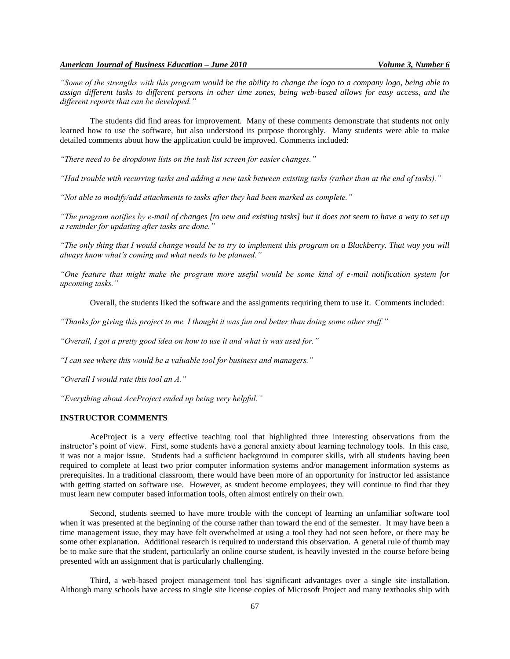*"Some of the strengths with this program would be the ability to change the logo to a company logo, being able to assign different tasks to different persons in other time zones, being web-based allows for easy access, and the different reports that can be developed."*

The students did find areas for improvement. Many of these comments demonstrate that students not only learned how to use the software, but also understood its purpose thoroughly. Many students were able to make detailed comments about how the application could be improved. Comments included:

*"There need to be dropdown lists on the task list screen for easier changes."*

*"Had trouble with recurring tasks and adding a new task between existing tasks (rather than at the end of tasks)."*

*"Not able to modify/add attachments to tasks after they had been marked as complete."*

*"The program notifies by e-mail of changes [to new and existing tasks] but it does not seem to have a way to set up a reminder for updating after tasks are done."*

*"The only thing that I would change would be to try to implement this program on a Blackberry. That way you will always know what's coming and what needs to be planned."*

*"One feature that might make the program more useful would be some kind of e-mail notification system for upcoming tasks."*

Overall, the students liked the software and the assignments requiring them to use it. Comments included:

*"Thanks for giving this project to me. I thought it was fun and better than doing some other stuff."*

*"Overall, I got a pretty good idea on how to use it and what is was used for."*

*"I can see where this would be a valuable tool for business and managers."*

*"Overall I would rate this tool an A."*

*"Everything about AceProject ended up being very helpful."*

### **INSTRUCTOR COMMENTS**

AceProject is a very effective teaching tool that highlighted three interesting observations from the instructor's point of view. First, some students have a general anxiety about learning technology tools. In this case, it was not a major issue. Students had a sufficient background in computer skills, with all students having been required to complete at least two prior computer information systems and/or management information systems as prerequisites. In a traditional classroom, there would have been more of an opportunity for instructor led assistance with getting started on software use. However, as student become employees, they will continue to find that they must learn new computer based information tools, often almost entirely on their own.

Second, students seemed to have more trouble with the concept of learning an unfamiliar software tool when it was presented at the beginning of the course rather than toward the end of the semester. It may have been a time management issue, they may have felt overwhelmed at using a tool they had not seen before, or there may be some other explanation. Additional research is required to understand this observation. A general rule of thumb may be to make sure that the student, particularly an online course student, is heavily invested in the course before being presented with an assignment that is particularly challenging.

Third, a web-based project management tool has significant advantages over a single site installation. Although many schools have access to single site license copies of Microsoft Project and many textbooks ship with